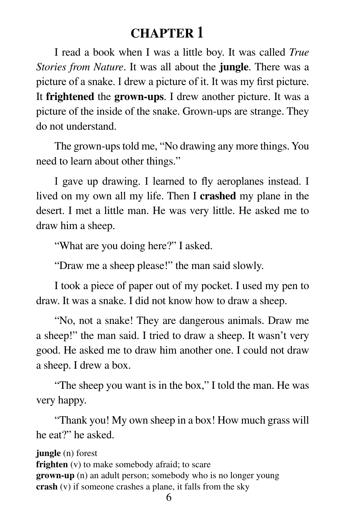# **CHAPTER 1**

I read a book when I was a little boy. It was called *True Stories from Nature*. It was all about the **jungle**. There was a picture of a snake. I drew a picture of it. It was my first picture. It **frightened** the **grown-ups**. I drew another picture. It was a picture of the inside of the snake. Grown-ups are strange. They do not understand.

The grown-ups told me, "No drawing any more things. You need to learn about other things."

I gave up drawing. I learned to fly aeroplanes instead. I lived on my own all my life. Then I **crashed** my plane in the desert. I met a little man. He was very little. He asked me to draw him a sheep.

"What are you doing here?" I asked.

"Draw me a sheep please!" the man said slowly.

I took a piece of paper out of my pocket. I used my pen to draw. It was a snake. I did not know how to draw a sheep.

"No, not a snake! They are dangerous animals. Draw me a sheep!" the man said. I tried to draw a sheep. It wasn't very good. He asked me to draw him another one. I could not draw a sheep. I drew a box.

"The sheep you want is in the box," I told the man. He was very happy.

"Thank you! My own sheep in a box! How much grass will he eat?" he asked.

**jungle** (n) forest **frighten** (v) to make somebody afraid; to scare **grown-up** (n) an adult person; somebody who is no longer young **crash** (v) if someone crashes a plane, it falls from the sky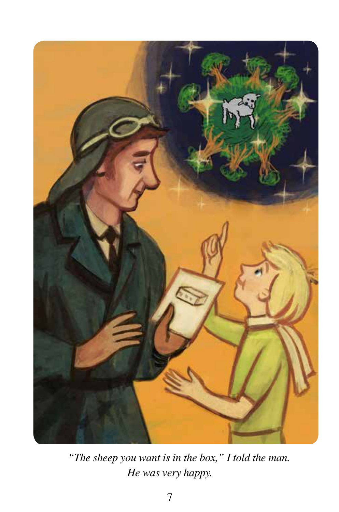

*"The sheep you want is in the box," I told the man. He was very happy.*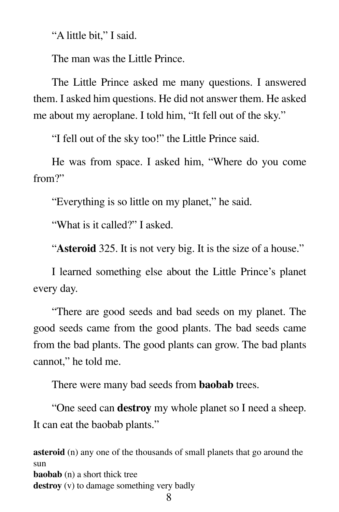"A little bit," I said.

The man was the Little Prince.

The Little Prince asked me many questions. I answered them. I asked him questions. He did not answer them. He asked me about my aeroplane. I told him, "It fell out of the sky."

"I fell out of the sky too!" the Little Prince said.

He was from space. I asked him, "Where do you come from?"

"Everything is so little on my planet," he said.

"What is it called?" I asked.

"**Asteroid** 325. It is not very big. It is the size of a house."

I learned something else about the Little Prince's planet every day.

"There are good seeds and bad seeds on my planet. The good seeds came from the good plants. The bad seeds came from the bad plants. The good plants can grow. The bad plants cannot," he told me.

There were many bad seeds from **baobab** trees.

"One seed can **destroy** my whole planet so I need a sheep. It can eat the baobab plants."

**asteroid** (n) any one of the thousands of small planets that go around the sun **baobab** (n) a short thick tree **destroy** (v) to damage something very badly

8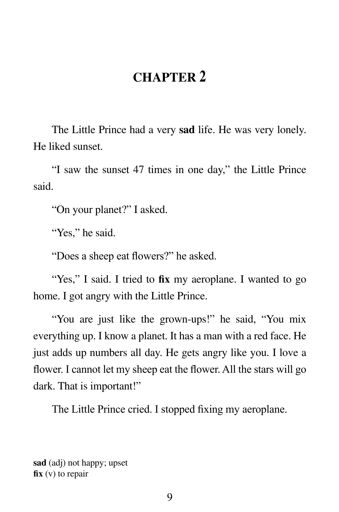## **CHAPTER 2**

 The Little Prince had a very **sad** life. He was very lonely. He liked sunset.

 "I saw the sunset 47 times in one day," the Little Prince said.

"On your planet?" I asked.

"Yes," he said.

"Does a sheep eat flowers?" he asked.

"Yes," I said. I tried to fix my aeroplane. I wanted to go home. I got angry with the Little Prince.

 "You are just like the grown-ups!" he said, "You mix everything up. I know a planet. It has a man with a red face. He just adds up numbers all day. He gets angry like you. I love a flower. I cannot let my sheep eat the flower. All the stars will go dark. That is important!"

The Little Prince cried. I stopped fixing my aeroplane.

**sad** (adj) not happy; upset **fix** (v) to repair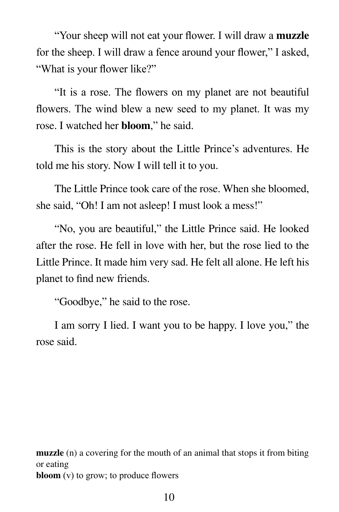"Your sheep will not eat your flower. I will draw a **muzzle** for the sheep. I will draw a fence around your flower," I asked, "What is your flower like?"

 "It is a rose. The flowers on my planet are not beautiful flowers. The wind blew a new seed to my planet. It was my rose. I watched her **bloom**," he said.

 This is the story about the Little Prince's adventures. He told me his story. Now I will tell it to you.

 The Little Prince took care of the rose. When she bloomed, she said, "Oh! I am not asleep! I must look a mess!"

 "No, you are beautiful," the Little Prince said. He looked after the rose. He fell in love with her, but the rose lied to the Little Prince. It made him very sad. He felt all alone. He left his planet to find new friends.

"Goodbye," he said to the rose.

 I am sorry I lied. I want you to be happy. I love you," the rose said.

**muzzle** (n) a covering for the mouth of an animal that stops it from biting or eating **bloom** (v) to grow; to produce flowers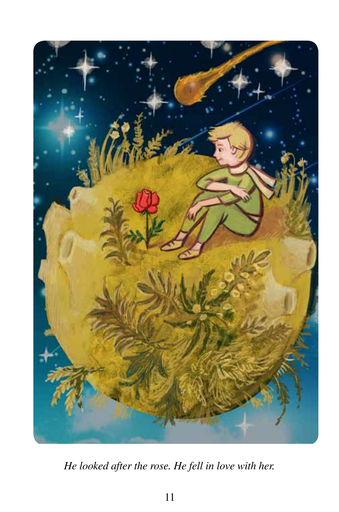

*He looked after the rose. He fell in love with her.*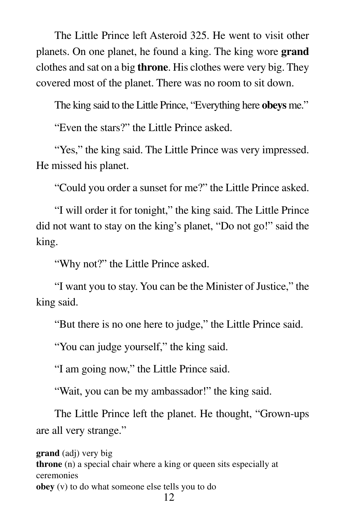The Little Prince left Asteroid 325. He went to visit other planets. On one planet, he found a king. The king wore **grand** clothes and sat on a big **throne**. His clothes were very big. They covered most of the planet. There was no room to sit down.

The king said to the Little Prince, "Everything here **obeys** me."

"Even the stars?" the Little Prince asked.

"Yes," the king said. The Little Prince was very impressed. He missed his planet.

"Could you order a sunset for me?" the Little Prince asked.

 "I will order it for tonight," the king said. The Little Prince did not want to stay on the king's planet, "Do not go!" said the king.

"Why not?" the Little Prince asked.

 "I want you to stay. You can be the Minister of Justice," the king said.

"But there is no one here to judge," the Little Prince said.

"You can judge yourself," the king said.

"I am going now," the Little Prince said.

"Wait, you can be my ambassador!" the king said.

 The Little Prince left the planet. He thought, "Grown-ups are all very strange."

12 **grand** (adj) very big **throne** (n) a special chair where a king or queen sits especially at ceremonies **obey** (v) to do what someone else tells you to do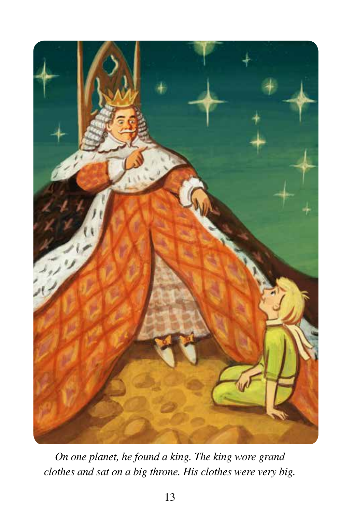

*On one planet, he found a king. The king wore grand clothes and sat on a big throne. His clothes were very big.*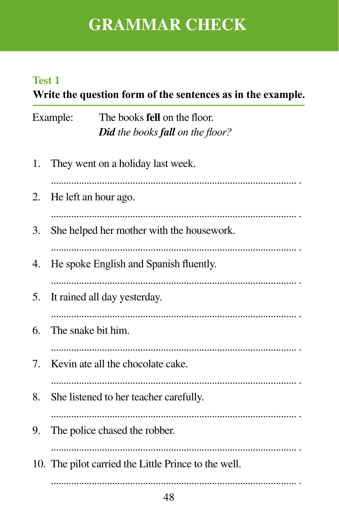# **GRAMMAR CHECK**

### **Test 1**

## Write the question form of the sentences as in the example.

| Example: | The books <b>fell</b> on the floor.            |
|----------|------------------------------------------------|
|          | <b>Did</b> the books <b>fall</b> on the floor? |

| 1. | They went on a holiday last week.                    |
|----|------------------------------------------------------|
| 2. | He left an hour ago.                                 |
| 3. | She helped her mother with the housework.            |
| 4. | He spoke English and Spanish fluently.               |
| 5. | It rained all day yesterday.                         |
| 6. | The snake bit him.                                   |
| 7. | Kevin ate all the chocolate cake.                    |
| 8. | She listened to her teacher carefully.               |
| 9. | The police chased the robber.                        |
|    | 10. The pilot carried the Little Prince to the well. |
|    |                                                      |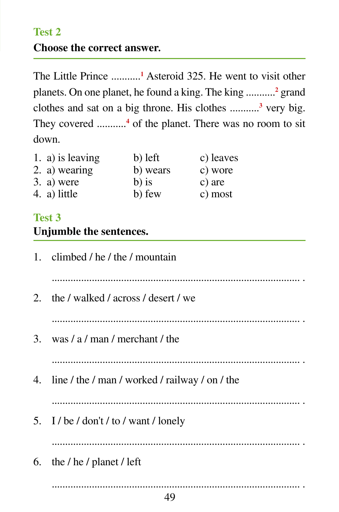#### **Test 2**

#### **Choose the correct answer***.*

The Little Prince ...........**<sup>1</sup>** Asteroid 325. He went to visit other planets. On one planet, he found a king. The king ...........**<sup>2</sup>** grand clothes and sat on a big throne. His clothes ...........**<sup>3</sup>** very big. They covered ...........**<sup>4</sup>** of the planet. There was no room to sit down.

| 1. a) is leaving | b) left  | c) leaves |
|------------------|----------|-----------|
| 2. a) wearing    | b) wears | c) wore   |
| 3. a) were       | $b)$ is  | c) are    |
| 4. a) little     | b) few   | c) most   |

### **Test 3 Unjumble the sentences.**

| 1. climbed / he / the / mountain                         |
|----------------------------------------------------------|
|                                                          |
| 2. the / walked / across / desert / we                   |
|                                                          |
| 3. was $/ a / \text{man} / \text{merchant} / \text{the}$ |
|                                                          |
| 4. line / the / man / worked / railway / on / the        |
|                                                          |
| 5. I / be / don't / to / want / lonely                   |
|                                                          |
| 6. the / he / planet / left                              |
|                                                          |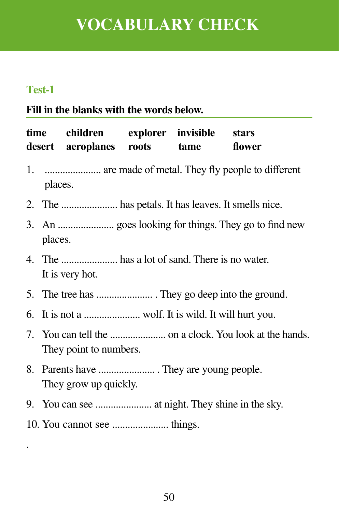# **VOCABULARY CHECK**

#### **Test-1**

.

### **Fill in the blanks with the words below.**

| time children explorer invisible stars<br>desert aeroplanes roots tame |  |  | flower |
|------------------------------------------------------------------------|--|--|--------|
| 1.  are made of metal. They fly people to different<br>places.         |  |  |        |
|                                                                        |  |  |        |
| places.                                                                |  |  |        |
| It is very hot.                                                        |  |  |        |
|                                                                        |  |  |        |
|                                                                        |  |  |        |
| They point to numbers.                                                 |  |  |        |
| They grow up quickly.                                                  |  |  |        |
|                                                                        |  |  |        |
|                                                                        |  |  |        |